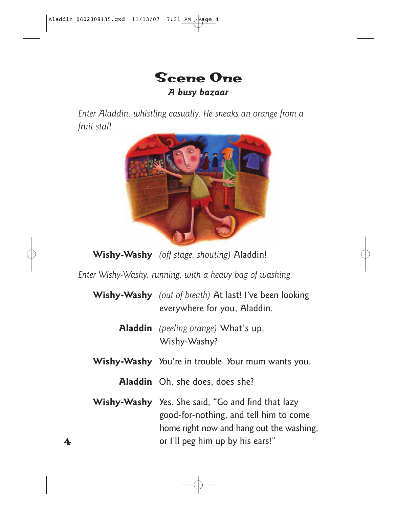

*Enter Aladdin, whistling casually. He sneaks an orange from a fruit stall.*



**Wishy-Washy** *(off stage, shouting)* Aladdin!

*Enter Wishy-Washy, running, with a heavy bag of washing.*

| <b>Wishy-Washy</b> (out of breath) At last! I've been looking<br>everywhere for you, Aladdin.                                                                                      |
|------------------------------------------------------------------------------------------------------------------------------------------------------------------------------------|
| <b>Aladdin</b> (peeling orange) What's up,<br>Wishy-Washy?                                                                                                                         |
| <b>Wishy-Washy</b> You're in trouble. Your mum wants you.                                                                                                                          |
| <b>Aladdin</b> Oh, she does, does she?                                                                                                                                             |
| <b>Wishy-Washy</b> Yes. She said, "Go and find that lazy<br>good-for-nothing, and tell him to come<br>home right now and hang out the washing,<br>or I'll peg him up by his ears!" |
|                                                                                                                                                                                    |